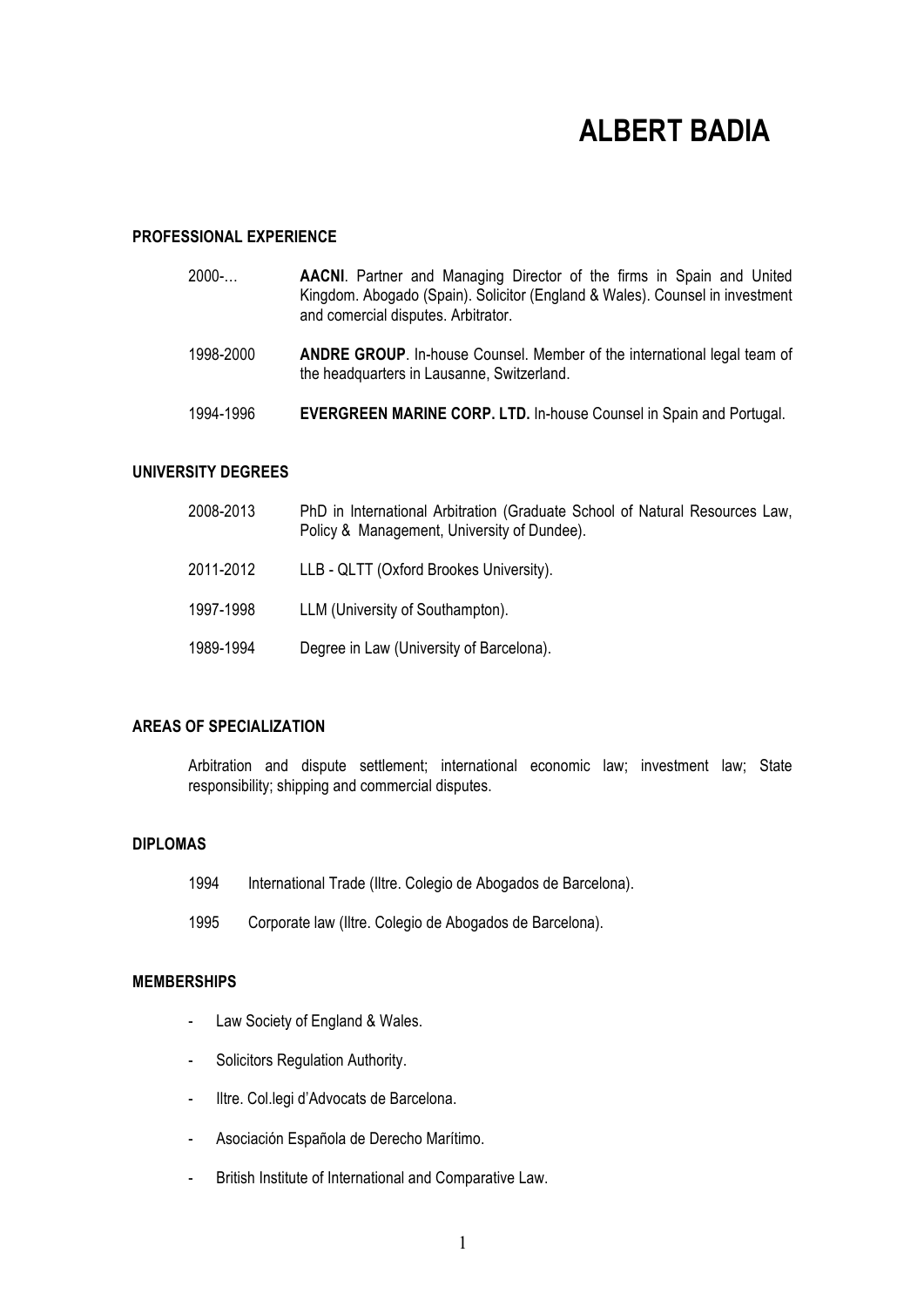# **ALBERT BADIA**

#### **PROFESSIONAL EXPERIENCE**

- 2000-… **AACNI**. Partner and Managing Director of the firms in Spain and United Kingdom. Abogado (Spain). Solicitor (England & Wales). Counsel in investment and comercial disputes. Arbitrator.
- 1998-2000 **ANDRE GROUP**. In-house Counsel. Member of the international legal team of the headquarters in Lausanne, Switzerland.
- 1994-1996 **EVERGREEN MARINE CORP. LTD.** In-house Counsel in Spain and Portugal.

#### **UNIVERSITY DEGREES**

| 2008-2013 | PhD in International Arbitration (Graduate School of Natural Resources Law,<br>Policy & Management, University of Dundee). |
|-----------|----------------------------------------------------------------------------------------------------------------------------|
| 2011-2012 | LLB - QLTT (Oxford Brookes University).                                                                                    |
| 1997-1998 | LLM (University of Southampton).                                                                                           |
| 1989-1994 | Degree in Law (University of Barcelona).                                                                                   |

## **AREAS OF SPECIALIZATION**

Arbitration and dispute settlement; international economic law; investment law; State responsibility; shipping and commercial disputes.

## **DIPLOMAS**

- 1994 International Trade (Iltre. Colegio de Abogados de Barcelona).
- 1995 Corporate law (Iltre. Colegio de Abogados de Barcelona).

#### **MEMBERSHIPS**

- Law Society of England & Wales.
- Solicitors Regulation Authority.
- Iltre. Col.legi d'Advocats de Barcelona.
- Asociación Española de Derecho Marítimo.
- British Institute of International and Comparative Law.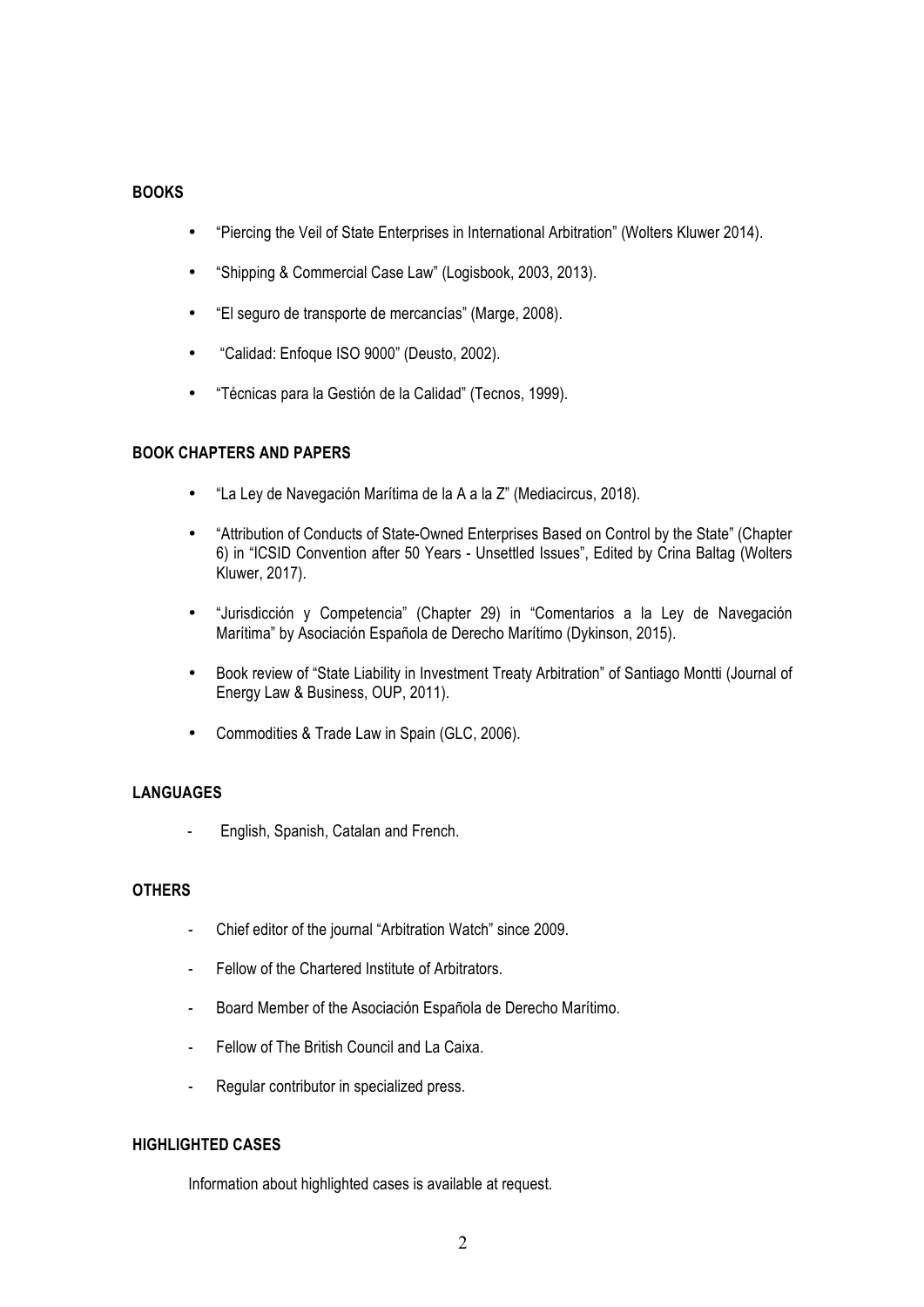## **BOOKS**

- "Piercing the Veil of State Enterprises in International Arbitration" (Wolters Kluwer 2014).
- "Shipping & Commercial Case Law" (Logisbook, 2003, 2013).
- "El seguro de transporte de mercancías" (Marge, 2008).
- "Calidad: Enfoque ISO 9000" (Deusto, 2002).
- "Técnicas para la Gestión de la Calidad" (Tecnos, 1999).

## **BOOK CHAPTERS AND PAPERS**

- "La Ley de Navegación Marítima de la A a la Z" (Mediacircus, 2018).
- "Attribution of Conducts of State-Owned Enterprises Based on Control by the State" (Chapter 6) in "ICSID Convention after 50 Years - Unsettled Issues", Edited by Crina Baltag (Wolters Kluwer, 2017).
- "Jurisdicción y Competencia" (Chapter 29) in "Comentarios a la Ley de Navegación Marítima" by Asociación Española de Derecho Marítimo (Dykinson, 2015).
- Book review of "State Liability in Investment Treaty Arbitration" of Santiago Montti (Journal of Energy Law & Business, OUP, 2011).
- Commodities & Trade Law in Spain (GLC, 2006).

## **LANGUAGES**

- English, Spanish, Catalan and French.

#### **OTHERS**

- Chief editor of the journal "Arbitration Watch" since 2009.
- Fellow of the Chartered Institute of Arbitrators.
- Board Member of the Asociación Española de Derecho Marítimo.
- Fellow of The British Council and La Caixa.
- Regular contributor in specialized press.

#### **HIGHLIGHTED CASES**

Information about highlighted cases is available at request.